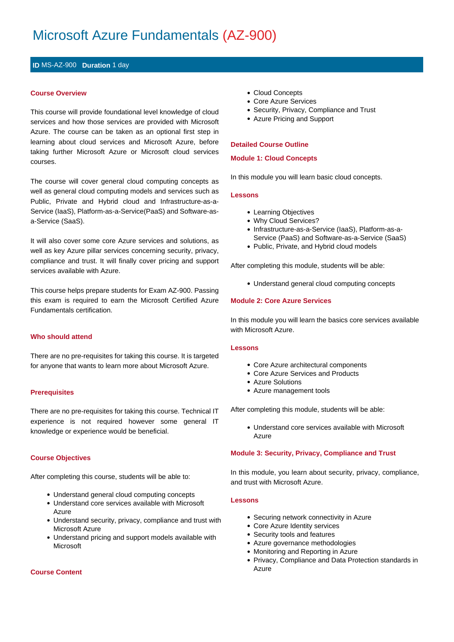# Microsoft Azure Fundamentals (AZ-900)

# **ID** MS-AZ-900 **Duration** 1 day

## **Course Overview**

This course will provide foundational level knowledge of cloud services and how those services are provided with Microsoft Azure. The course can be taken as an optional first step in learning about cloud services and Microsoft Azure, before taking further Microsoft Azure or Microsoft cloud services courses.

The course will cover general cloud computing concepts as well as general cloud computing models and services such as Public, Private and Hybrid cloud and Infrastructure-as-a-Service (IaaS), Platform-as-a-Service(PaaS) and Software-asa-Service (SaaS).

It will also cover some core Azure services and solutions, as well as key Azure pillar services concerning security, privacy, compliance and trust. It will finally cover pricing and support services available with Azure.

This course helps prepare students for Exam AZ-900. Passing this exam is required to earn the Microsoft Certified Azure Fundamentals certification.

#### **Who should attend**

There are no pre-requisites for taking this course. It is targeted for anyone that wants to learn more about Microsoft Azure.

#### **Prerequisites**

There are no pre-requisites for taking this course. Technical IT experience is not required however some general IT knowledge or experience would be beneficial.

#### **Course Objectives**

After completing this course, students will be able to:

- Understand general cloud computing concepts
- Understand core services available with Microsoft Azure
- Understand security, privacy, compliance and trust with Microsoft Azure
- Understand pricing and support models available with Microsoft

#### **Course Content**

- Cloud Concepts
- Core Azure Services
- Security, Privacy, Compliance and Trust
- Azure Pricing and Support

## **Detailed Course Outline**

#### **Module 1: Cloud Concepts**

In this module you will learn basic cloud concepts.

### **Lessons**

- Learning Objectives
- Why Cloud Services?
- Infrastructure-as-a-Service (IaaS), Platform-as-a-Service (PaaS) and Software-as-a-Service (SaaS)
- Public, Private, and Hybrid cloud models

After completing this module, students will be able:

Understand general cloud computing concepts

#### **Module 2: Core Azure Services**

In this module you will learn the basics core services available with Microsoft Azure.

#### **Lessons**

- Core Azure architectural components
- Core Azure Services and Products
- Azure Solutions
- Azure management tools

After completing this module, students will be able:

Understand core services available with Microsoft Azure

#### **Module 3: Security, Privacy, Compliance and Trust**

In this module, you learn about security, privacy, compliance, and trust with Microsoft Azure.

#### **Lessons**

- Securing network connectivity in Azure
- Core Azure Identity services
- Security tools and features
- Azure governance methodologies
- Monitoring and Reporting in Azure
- Privacy, Compliance and Data Protection standards in Azure